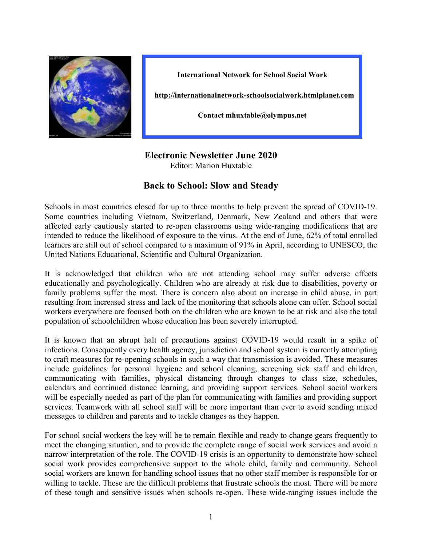

**International Network for School Social Work**

**http://internationalnetwork-schoolsocialwork.htmlplanet.com**

**Contact mhuxtable@olympus.net**

## **Electronic Newsletter June 2020**

Editor: Marion Huxtable

## **Back to School: Slow and Steady**

Schools in most countries closed for up to three months to help prevent the spread of COVID-19. Some countries including Vietnam, Switzerland, Denmark, New Zealand and others that were affected early cautiously started to re-open classrooms using wide-ranging modifications that are intended to reduce the likelihood of exposure to the virus. At the end of June, 62% of total enrolled learners are still out of school compared to a maximum of 91% in April, according to UNESCO, the United Nations Educational, Scientific and Cultural Organization.

It is acknowledged that children who are not attending school may suffer adverse effects educationally and psychologically. Children who are already at risk due to disabilities, poverty or family problems suffer the most. There is concern also about an increase in child abuse, in part resulting from increased stress and lack of the monitoring that schools alone can offer. School social workers everywhere are focused both on the children who are known to be at risk and also the total population of schoolchildren whose education has been severely interrupted.

It is known that an abrupt halt of precautions against COVID-19 would result in a spike of infections. Consequently every health agency, jurisdiction and school system is currently attempting to craft measures for re-opening schools in such a way that transmission is avoided. These measures include guidelines for personal hygiene and school cleaning, screening sick staff and children, communicating with families, physical distancing through changes to class size, schedules, calendars and continued distance learning, and providing support services. School social workers will be especially needed as part of the plan for communicating with families and providing support services. Teamwork with all school staff will be more important than ever to avoid sending mixed messages to children and parents and to tackle changes as they happen.

For school social workers the key will be to remain flexible and ready to change gears frequently to meet the changing situation, and to provide the complete range of social work services and avoid a narrow interpretation of the role. The COVID-19 crisis is an opportunity to demonstrate how school social work provides comprehensive support to the whole child, family and community. School social workers are known for handling school issues that no other staff member is responsible for or willing to tackle. These are the difficult problems that frustrate schools the most. There will be more of these tough and sensitive issues when schools re-open. These wide-ranging issues include the